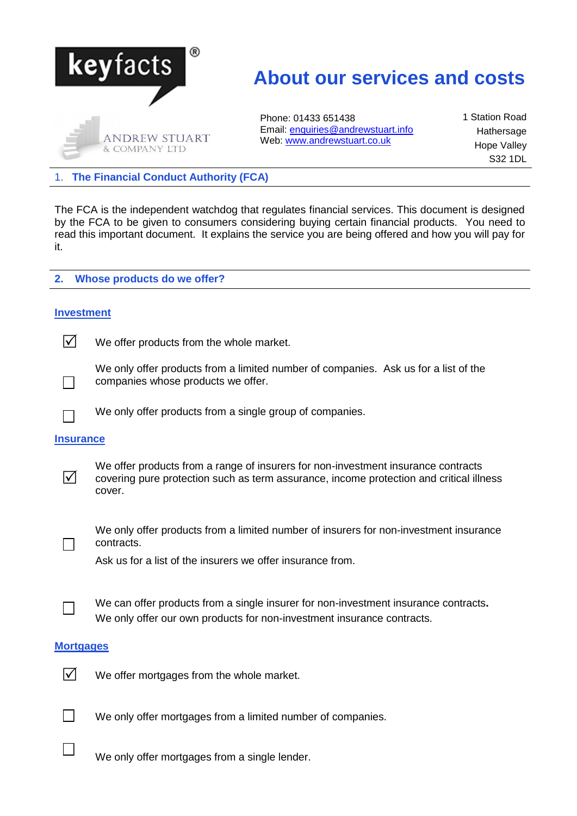

# **About our services and costs**

Phone: 01433 651438 Email: [enquiries@andrewstuart.info](mailto:enquiries@andrewstuart.info) Web: [www.andrewstuart.co.uk](http://www.andrewstuart.co.uk/)

1 Station Road Hathersage Hope Valley S32 1DL

1. **The Financial Conduct Authority (FCA)**

The FCA is the independent watchdog that regulates financial services. This document is designed by the FCA to be given to consumers considering buying certain financial products. You need to read this important document. It explains the service you are being offered and how you will pay for it.

## **2. Whose products do we offer?**

# **Investment**

 $\sqrt{\phantom{a}}$  We offer products from the whole market.

We only offer products from a limited number of companies. Ask us for a list of the companies whose products we offer.

We only offer products from a single group of companies.

## **Insurance**

 $\Box$ 

 $\Box$ 

 $\overline{\mathsf{M}}$ 

We offer products from a range of insurers for non-investment insurance contracts covering pure protection such as term assurance, income protection and critical illness cover.



We only offer products from a limited number of insurers for non-investment insurance contracts.

Ask us for a list of the insurers we offer insurance from.



We can offer products from a single insurer for non-investment insurance contracts**.** We only offer our own products for non-investment insurance contracts.

## **Mortgages**



 $\triangledown$  We offer mortgages from the whole market.

 $\Box$  We only offer mortgages from a limited number of companies.

We only offer mortgages from a single lender.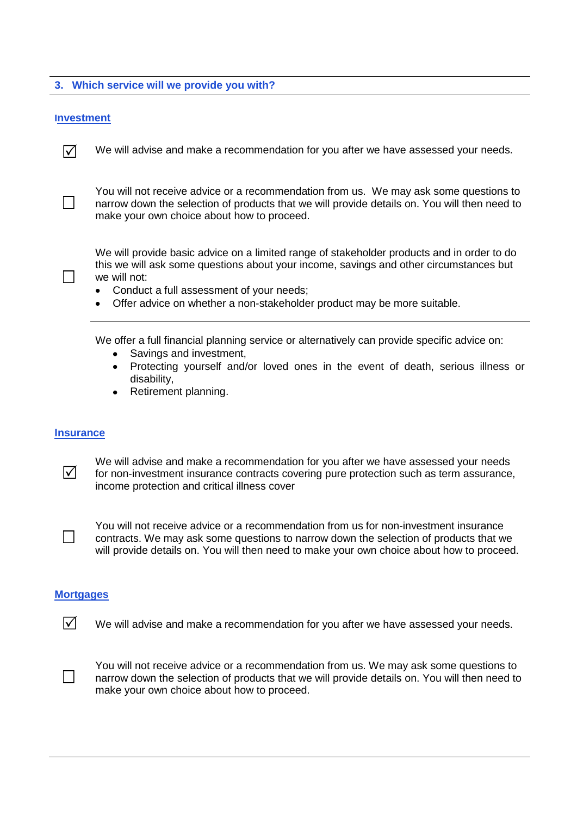# **3. Which service will we provide you with?**

## **Investment**

 $\triangledown$  We will advise and make a recommendation for you after we have assessed your needs.

You will not receive advice or a recommendation from us. We may ask some questions to narrow down the selection of products that we will provide details on. You will then need to make your own choice about how to proceed.

We will provide basic advice on a limited range of stakeholder products and in order to do this we will ask some questions about your income, savings and other circumstances but we will not:

- Conduct a full assessment of your needs;  $\bullet$
- Offer advice on whether a non-stakeholder product may be more suitable.

We offer a full financial planning service or alternatively can provide specific advice on:

- Savings and investment,
- Protecting yourself and/or loved ones in the event of death, serious illness or disability,
- Retirement planning.

#### **Insurance**

We will advise and make a recommendation for you after we have assessed your needs for non-investment insurance contracts covering pure protection such as term assurance, income protection and critical illness cover



 $\overline{\mathsf{M}}$ 

 $\Box$ 

You will not receive advice or a recommendation from us for non-investment insurance contracts. We may ask some questions to narrow down the selection of products that we will provide details on. You will then need to make your own choice about how to proceed.

## **Mortgages**

 $\overline{V}$  We will advise and make a recommendation for you after we have assessed your needs.

 $\Box$ 

You will not receive advice or a recommendation from us. We may ask some questions to narrow down the selection of products that we will provide details on. You will then need to make your own choice about how to proceed.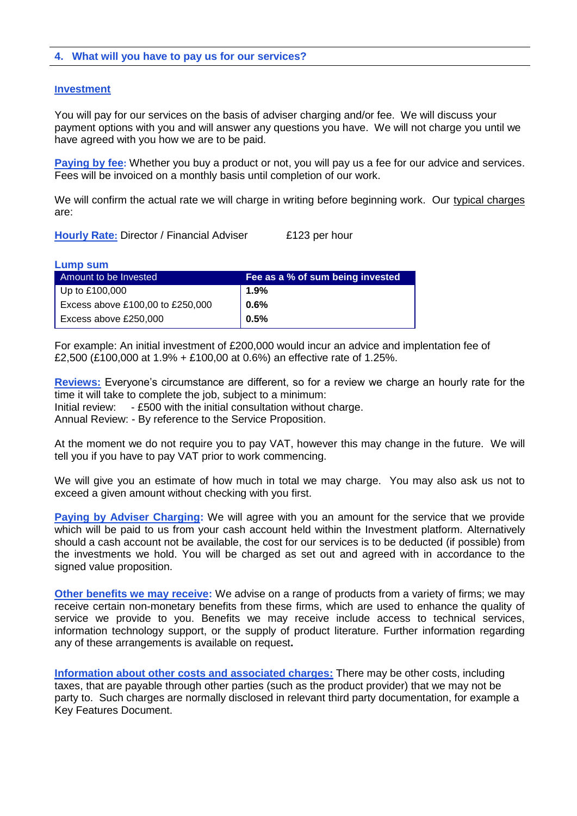# **4. What will you have to pay us for our services?**

#### **Investment**

You will pay for our services on the basis of adviser charging and/or fee. We will discuss your payment options with you and will answer any questions you have. We will not charge you until we have agreed with you how we are to be paid.

**Paying by fee:** Whether you buy a product or not, you will pay us a fee for our advice and services. Fees will be invoiced on a monthly basis until completion of our work.

We will confirm the actual rate we will charge in writing before beginning work. Our typical charges are:

**Hourly Rate: Director / Financial Adviser £123 per hour** 

| Lump sum                         |                                  |
|----------------------------------|----------------------------------|
| Amount to be Invested            | Fee as a % of sum being invested |
| Up to $£100,000$                 | $1.9\%$                          |
| Excess above £100,00 to £250,000 | 0.6%                             |
| Excess above £250,000            | 0.5%                             |

For example: An initial investment of £200,000 would incur an advice and implentation fee of £2,500 (£100,000 at 1.9% + £100,00 at 0.6%) an effective rate of 1.25%.

**Reviews:** Everyone's circumstance are different, so for a review we charge an hourly rate for the time it will take to complete the job, subject to a minimum: Initial review: - £500 with the initial consultation without charge. Annual Review: - By reference to the Service Proposition.

At the moment we do not require you to pay VAT, however this may change in the future. We will tell you if you have to pay VAT prior to work commencing.

We will give you an estimate of how much in total we may charge. You may also ask us not to exceed a given amount without checking with you first.

**Paying by Adviser Charging:** We will agree with you an amount for the service that we provide which will be paid to us from your cash account held within the Investment platform. Alternatively should a cash account not be available, the cost for our services is to be deducted (if possible) from the investments we hold. You will be charged as set out and agreed with in accordance to the signed value proposition.

**Other benefits we may receive:** We advise on a range of products from a variety of firms; we may receive certain non-monetary benefits from these firms, which are used to enhance the quality of service we provide to you. Benefits we may receive include access to technical services, information technology support, or the supply of product literature. Further information regarding any of these arrangements is available on request**.**

**Information about other costs and associated charges:** There may be other costs, including taxes, that are payable through other parties (such as the product provider) that we may not be party to. Such charges are normally disclosed in relevant third party documentation, for example a Key Features Document.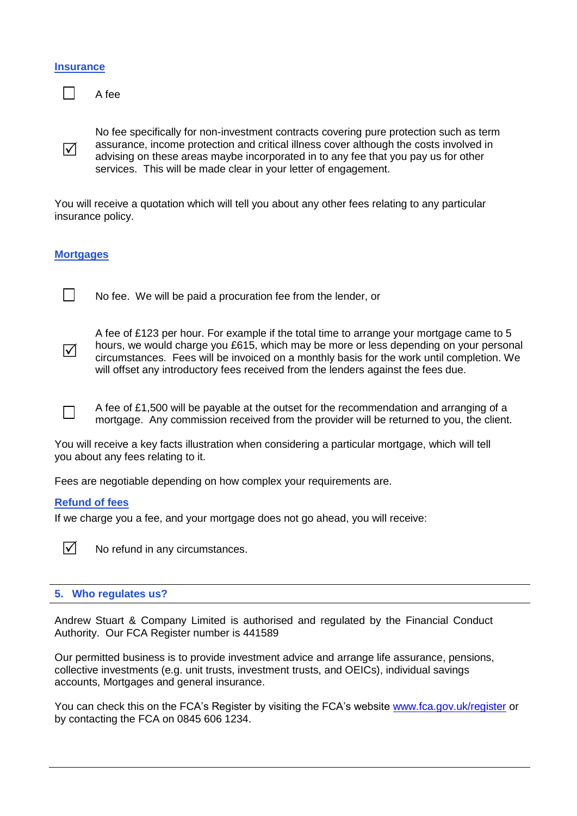#### **Insurance**

 $\triangledown$ 

П

A fee

No fee specifically for non-investment contracts covering pure protection such as term assurance, income protection and critical illness cover although the costs involved in advising on these areas maybe incorporated in to any fee that you pay us for other services. This will be made clear in your letter of engagement.

You will receive a quotation which will tell you about any other fees relating to any particular insurance policy.

# **Mortgages**

 $\overline{\mathsf{M}}$ 

 $\Box$ 

No fee. We will be paid a procuration fee from the lender, or

A fee of £123 per hour. For example if the total time to arrange your mortgage came to 5 hours, we would charge you £615, which may be more or less depending on your personal circumstances. Fees will be invoiced on a monthly basis for the work until completion. We will offset any introductory fees received from the lenders against the fees due.

A fee of £1,500 will be payable at the outset for the recommendation and arranging of a mortgage. Any commission received from the provider will be returned to you, the client.

You will receive a key facts illustration when considering a particular mortgage, which will tell you about any fees relating to it.

Fees are negotiable depending on how complex your requirements are.

## **Refund of fees**

If we charge you a fee, and your mortgage does not go ahead, you will receive:

 $\triangledown$  No refund in any circumstances.

# **5. Who regulates us?**

Andrew Stuart & Company Limited is authorised and regulated by the Financial Conduct Authority. Our FCA Register number is 441589

Our permitted business is to provide investment advice and arrange life assurance, pensions, collective investments (e.g. unit trusts, investment trusts, and OEICs), individual savings accounts, Mortgages and general insurance.

You can check this on the FCA's Register by visiting the FCA's website [www.fca.gov.uk/register](http://www.fca.gov.uk/register) or by contacting the FCA on 0845 606 1234.